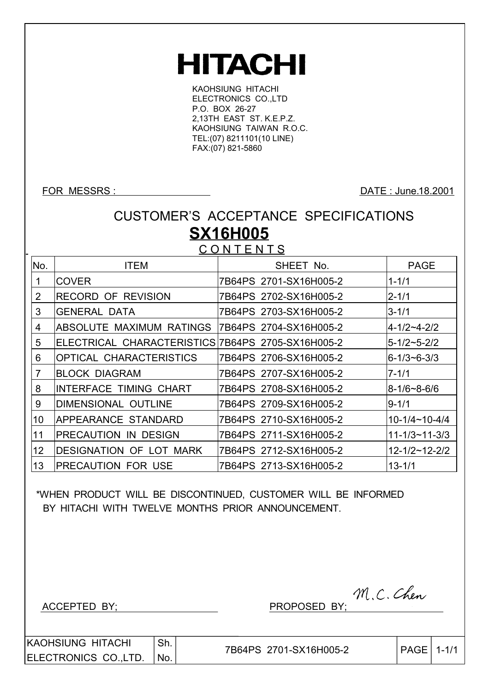# **HITACHI**

KAOHSIUNG HITACHI ELECTRONICS CO.,LTD P.O. BOX 26-27 2,13TH EAST ST. K.E.P.Z. KAOHSIUNG TAIWAN R.O.C. TEL:(07) 8211101(10 LINE) FAX:(07) 821-5860

FOR MESSRS : DATE : June.18.2001

## CUSTOMER'S ACCEPTANCE SPECIFICATIONS **SX16H005**

**CONTENTS** 

| No. | <b>ITEM</b>                                       | SHEET No.              | <b>PAGE</b>           |
|-----|---------------------------------------------------|------------------------|-----------------------|
| 1   | <b>COVER</b>                                      | 7B64PS 2701-SX16H005-2 | $1 - 1/1$             |
| 2   | <b>RECORD OF REVISION</b>                         | 7B64PS 2702-SX16H005-2 | $2 - 1/1$             |
| 3   | <b>GENERAL DATA</b>                               | 7B64PS 2703-SX16H005-2 | $3 - 1/1$             |
| 4   | ABSOLUTE MAXIMUM RATINGS                          | 7B64PS 2704-SX16H005-2 | 4-1/2~4-2/2           |
| 5   | ELECTRICAL CHARACTERISTICS 7B64PS 2705-SX16H005-2 |                        | $5 - 1/2 - 5 - 2/2$   |
| 6   | <b>OPTICAL CHARACTERISTICS</b>                    | 7B64PS 2706-SX16H005-2 | $6 - 1/3 - 6 - 3/3$   |
| 7   | <b>BLOCK DIAGRAM</b>                              | 7B64PS 2707-SX16H005-2 | $7 - 1/1$             |
| 8   | <b>INTERFACE TIMING CHART</b>                     | 7B64PS 2708-SX16H005-2 | $8 - 1/6 - 8 - 6/6$   |
| 9   | <b>DIMENSIONAL OUTLINE</b>                        | 7B64PS 2709-SX16H005-2 | $9 - 1/1$             |
| 10  | APPEARANCE STANDARD                               | 7B64PS 2710-SX16H005-2 | $10-1/4 \sim 10-4/4$  |
| 11  | <b>PRECAUTION IN DESIGN</b>                       | 7B64PS 2711-SX16H005-2 | $11 - 1/3 - 11 - 3/3$ |
| 12  | <b>DESIGNATION OF LOT MARK</b>                    | 7B64PS 2712-SX16H005-2 | $12 - 1/2 - 12 - 2/2$ |
| 13  | <b>IPRECAUTION FOR USE</b>                        | 7B64PS 2713-SX16H005-2 | $13 - 1/1$            |

 \*WHEN PRODUCT WILL BE DISCONTINUED, CUSTOMER WILL BE INFORMED BY HITACHI WITH TWELVE MONTHS PRIOR ANNOUNCEMENT.

ACCEPTED BY; PROPOSED BY;

|    |  | M.C. Chen |
|----|--|-----------|
| V٠ |  |           |

KAOHSIUNG HITACHI ELECTRONICS CO.,LTD. Sh. No.

7B64PS 2701-SX16H005-2 | PAGE 1-1/1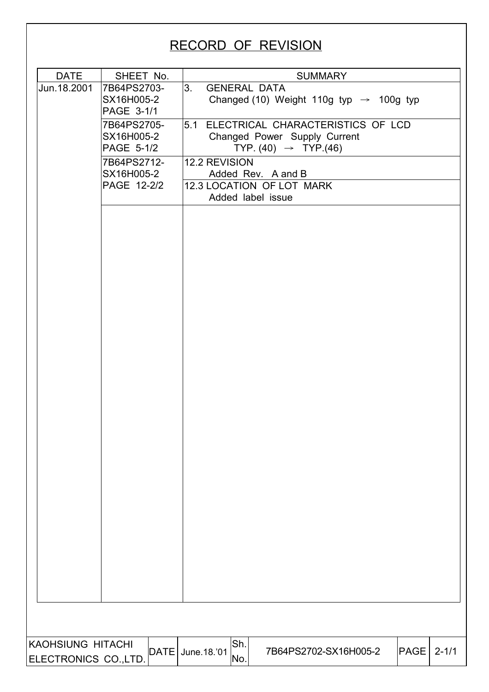# RECORD OF REVISION DATE | SHEET No. | SUMMARY 7B64PS2703- SX16H005-2 PAGE 3-1/1 3. GENERAL DATA Changed (10) Weight 110g typ  $\rightarrow$  100g typ 7B64PS2705- SX16H005-2 PAGE 5-1/2 5.1 ELECTRICAL CHARACTERISTICS OF LCD Changed Power Supply Current TYP.  $(40)$   $\rightarrow$  TYP.  $(46)$ 12.2 REVISION Added Rev. A and B 7B64PS2712- SX16H005-2 PAGE 12-2/2 12.3 LOCATION OF LOT MARK Added label issue Jun.18.2001 KAOHSIUNG HITACHI ELECTRONICS CO.,LTD. DATE June.18.'01  $\begin{vmatrix} 0.01 & 0.01 \\ 0.01 & 0.01 \end{vmatrix}$  7B64PS2702-SX16H005-2  $\begin{vmatrix} 0.01 & 0.01 \\ 0.01 & 0.01 \end{vmatrix}$  PAGE 2-1/1 Sh. No.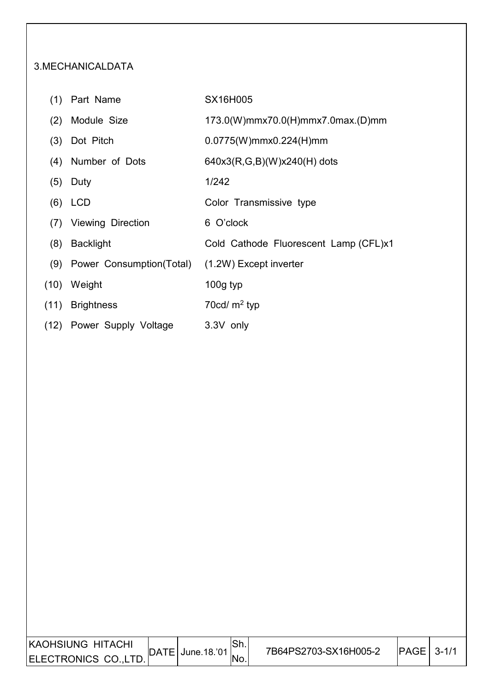#### 3.MECHANICALDATA

- (1) Part Name SX16H005
	-
- (2) Module Size 173.0(W)mmx70.0(H)mmx7.0max.(D)mm
- (3) Dot Pitch 0.0775(W)mmx0.224(H)mm
- (4) Number of Dots  $640x3(R,G,B)(W)x240(H)$  dots
- (5) Duty 1/242
- (6) LCD Color Transmissive type
- (7) Viewing Direction 6 O'clock

I

- (8) Backlight Cold Cathode Fluorescent Lamp (CFL)x1
- (9) Power Consumption(Total) (1.2W) Except inverter
- (10) Weight 100g typ
- (11) Brightness 70cd/ m<sup>2</sup> typ
- (12) Power Supply Voltage 3.3V only

| KAOHSIUNG HITACHI    |                     | ווט ' | 7B64PS2703-SX16H005-2 | PAGE | $3 - 1/1$ |
|----------------------|---------------------|-------|-----------------------|------|-----------|
| ELECTRONICS CO.,LTD. | $DATE$ June. 18.'01 |       |                       |      |           |
|                      |                     |       |                       |      |           |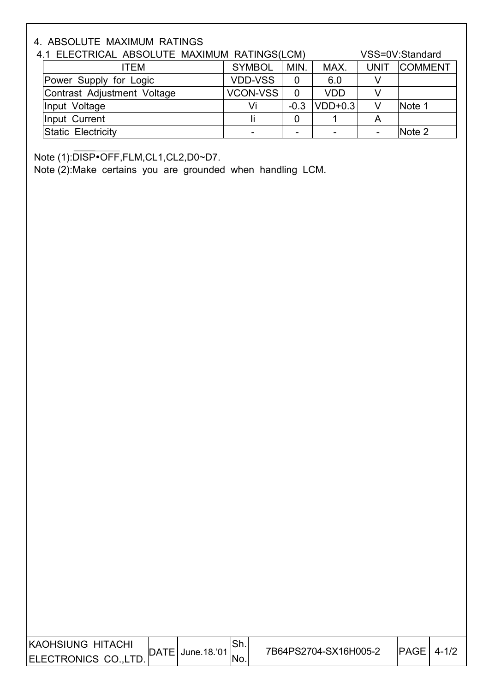### 4. ABSOLUTE MAXIMUM RATINGS

| 4.1 ELECTRICAL ABSOLUTE MAXIMUM RATINGS(LCM) |                 |                |                 |             | VSS=0V:Standard |
|----------------------------------------------|-----------------|----------------|-----------------|-------------|-----------------|
| ITEM                                         | <b>SYMBOL</b>   | MIN.           | MAX.            | <b>UNIT</b> | <b>COMMENT</b>  |
| Power Supply for Logic                       | <b>VDD-VSS</b>  |                | 6.0             |             |                 |
| Contrast Adjustment Voltage                  | <b>VCON-VSS</b> | $\overline{0}$ | <b>VDD</b>      |             |                 |
| Input Voltage                                | Vi              |                | $-0.3$  VDD+0.3 |             | Note 1          |
| Input Current                                |                 |                |                 |             |                 |
| Static Electricity                           |                 |                |                 |             | Note 2          |

Note (1):DISP•OFF,FLM,CL1,CL2,D0~D7.

I

Note (2):Make certains you are grounded when handling LCM.

| <b>IKAOHSIUNG HITACHI</b><br>ELECTRONICS CO.,LT |  | $\vert$ DATE $\vert$ June. 18.'01 | Sh.<br>No. | 7B64PS2704-SX16H005-2 | <b>IPAGE</b> | $4 - 1/2$ |
|-------------------------------------------------|--|-----------------------------------|------------|-----------------------|--------------|-----------|
|-------------------------------------------------|--|-----------------------------------|------------|-----------------------|--------------|-----------|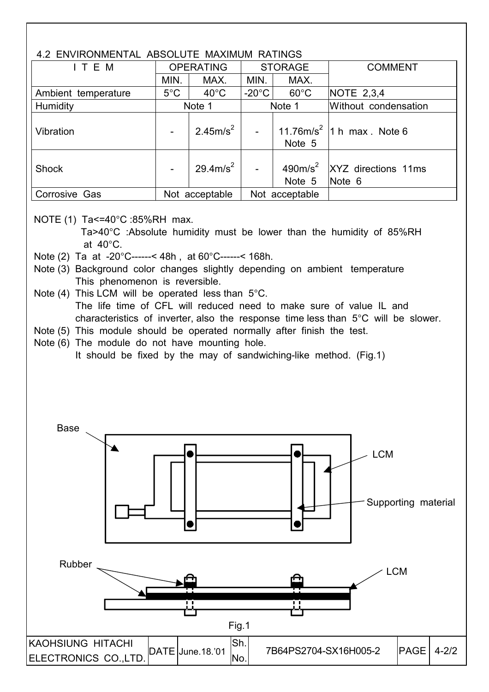#### 4.2 ENVIRONMENTAL ABSOLUTE MAXIMUM RATINGS

| T.A LIVIIIVUINILIVII/IL /IDOOLOTE INIVIIIIUIN TVIIIIVOO |               |                      |                           |                |                                           |  |  |
|---------------------------------------------------------|---------------|----------------------|---------------------------|----------------|-------------------------------------------|--|--|
| I T E M                                                 |               | <b>OPERATING</b>     | <b>STORAGE</b>            |                | <b>COMMENT</b>                            |  |  |
|                                                         | MIN.          | MAX.                 | MIN.                      | MAX.           |                                           |  |  |
| Ambient temperature                                     | $5^{\circ}$ C | $40^{\circ}$ C       | $-20^{\circ}$ C           | $60^{\circ}$ C | <b>NOTE 2,3,4</b>                         |  |  |
| <b>Humidity</b>                                         |               | Note 1               |                           | Note 1         | Without condensation                      |  |  |
| Vibration                                               |               | 2.45m/s <sup>2</sup> | $\mathbb{L}^{\mathbb{R}}$ | Note 5         | 11.76m/s <sup>2</sup>  1 h max Note 6     |  |  |
| <b>Shock</b>                                            |               | 29.4m/s <sup>2</sup> |                           | Note 5         | 490 $m/s^2$ XYZ directions 11ms<br>Note 6 |  |  |
| Corrosive Gas                                           |               | Not acceptable       |                           | Not acceptable |                                           |  |  |

NOTE (1) Ta<=40°C :85%RH max.

I

 Ta>40°C :Absolute humidity must be lower than the humidity of 85%RH at 40°C.

- Note (2) Ta at -20°C------< 48h , at 60°C------< 168h.
- Note (3) Background color changes slightly depending on ambient temperature This phenomenon is reversible.
- Note (4) This LCM will be operated less than 5°C. The life time of CFL will reduced need to make sure of value IL and characteristics of inverter, also the response time less than 5°C will be slower.
- Note (5) This module should be operated normally after finish the test.
- Note (6) The module do not have mounting hole. It should be fixed by the may of sandwiching-like method. (Fig.1)

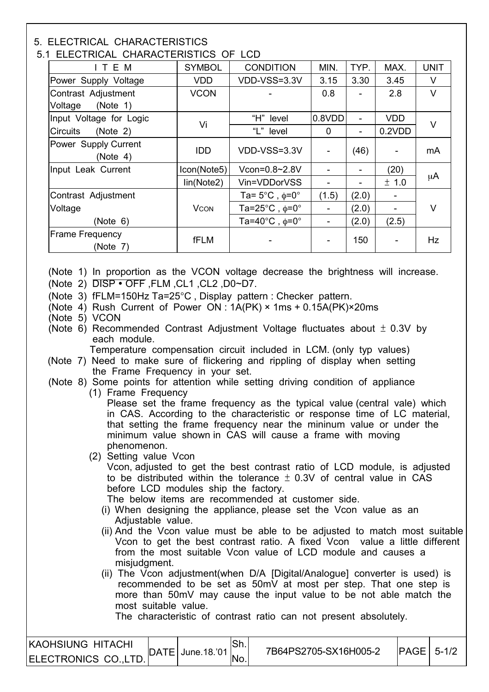#### 5. ELECTRICAL CHARACTERISTICS

I

#### 5.1 ELECTRICAL CHARACTERISTICS OF LCD

| __________________________________ |               |                                          |             |                |                          |             |
|------------------------------------|---------------|------------------------------------------|-------------|----------------|--------------------------|-------------|
| ITEM                               | <b>SYMBOL</b> | <b>CONDITION</b>                         | MIN.        | TYP.           | MAX.                     | <b>UNIT</b> |
| Power Supply Voltage               | <b>VDD</b>    | VDD-VSS=3.3V                             | 3.15        | 3.30           | 3.45                     | V           |
| Contrast Adjustment                | <b>VCON</b>   |                                          | 0.8         |                | 2.8                      | V           |
| (Note 1)<br>Voltage                |               |                                          |             |                |                          |             |
| Input Voltage for Logic            | Vi            | "H" level                                | 0.8VDD      | $\blacksquare$ | <b>VDD</b>               | V           |
| <b>Circuits</b><br>(Note 2)        |               | "L" level                                | $\mathbf 0$ | -              | 0.2VDD                   |             |
| Power Supply Current<br>(Note 4)   | <b>IDD</b>    | VDD-VSS=3.3V                             |             | (46)           | $\overline{\phantom{a}}$ | mA          |
| Input Leak Current                 | Icon(Note5)   | Vcon=0.8~2.8V                            |             |                | (20)                     |             |
|                                    | lin(Note2)    | Vin=VDDorVSS                             |             |                | ± 1.0                    | μA          |
| Contrast Adjustment                |               | Ta= $5^{\circ}$ C, $\phi$ =0 $^{\circ}$  | (1.5)       | (2.0)          |                          |             |
| Voltage                            | <b>VCON</b>   | Ta=25 $^{\circ}$ C, $\phi$ =0 $^{\circ}$ |             | (2.0)          |                          | V           |
| (Note 6)                           |               | Ta=40 $^{\circ}$ C, $\phi$ =0 $^{\circ}$ | -           | (2.0)          | (2.5)                    |             |
| <b>Frame Frequency</b><br>(Note 7) | fFLM          |                                          |             | 150            |                          | Hz          |

(Note 1) In proportion as the VCON voltage decrease the brightness will increase.

(Note 2) DISP • OFF ,FLM ,CL1 ,CL2 ,D0~D7.

(Note 3) fFLM=150Hz Ta=25°C , Display pattern : Checker pattern.

(Note 4) Rush Current of Power ON :  $1A(PK) \times 1ms + 0.15A(PK) \times 20ms$ 

(Note 5) VCON

(Note 6) Recommended Contrast Adjustment Voltage fluctuates about  $\pm$  0.3V by each module.

Temperature compensation circuit included in LCM. (only typ values)

 (Note 7) Need to make sure of flickering and rippling of display when setting the Frame Frequency in your set.

#### (Note 8) Some points for attention while setting driving condition of appliance

(1) Frame Frequency

Please set the frame frequency as the typical value (central vale) which in CAS. According to the characteristic or response time of LC material, that setting the frame frequency near the mininum value or under the minimum value shown in CAS will cause a frame with moving phenomenon.

(2) Setting value Vcon

Vcon, adjusted to get the best contrast ratio of LCD module, is adjusted to be distributed within the tolerance  $\pm$  0.3V of central value in CAS before LCD modules ship the factory.

The below items are recommended at customer side.

- (i) When designing the appliance, please set the Vcon value as an Adjustable value.
- (ii) And the Vcon value must be able to be adjusted to match most suitable Vcon to get the best contrast ratio. A fixed Vcon value a little different from the most suitable Vcon value of LCD module and causes a misjudgment.
- (ii) The Vcon adjustment(when D/A [Digital/Analogue] converter is used) is recommended to be set as 50mV at most per step. That one step is more than 50mV may cause the input value to be not able match the most suitable value.

The characteristic of contrast ratio can not present absolutely.

| IKAOHSIUNG HITACHI   | <b>DATE</b><br>$\cdot$ . In Fig. 1. | June.18.'01 | Sh. | 7B64PS2705-SX16H005-2 | $ PAGE  5-1/2$ |  |
|----------------------|-------------------------------------|-------------|-----|-----------------------|----------------|--|
| ELECTRONICS CO.,LTD. |                                     |             |     |                       |                |  |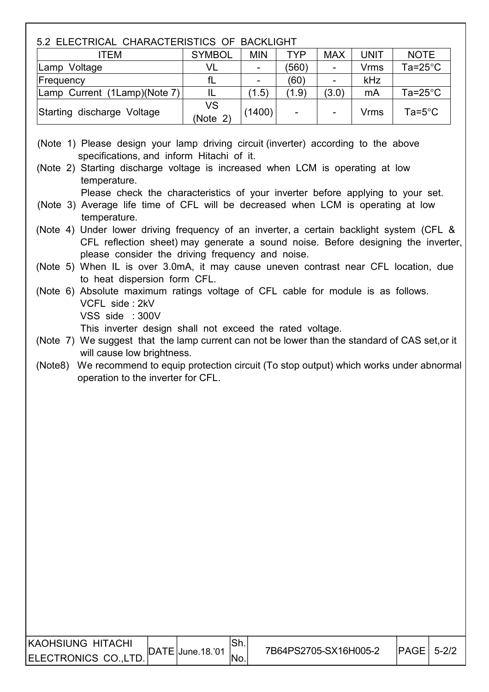# 5.2 ELECTRICAL CHARACTERISTICS OF BACKLIGHT ITEM SYMBOL MIN TYP MAX UNIT NOTE Lamp Voltage  $|V| = |V| = |(560)$  - Vrms Ta=25°C Frequency  $\vert$  fL  $\vert$  -  $\vert$  (60)  $\vert$  -  $\vert$  kHz Lamp Current (1Lamp)(Note 7) IL  $(1.5)$   $(1.9)$   $(3.0)$  mA Ta=25°C Starting discharge Voltage  $\begin{vmatrix}VS\Note2\end{vmatrix}$  (1400) - - | - | Vrms | Ta=5°C (Note 1) Please design your lamp driving circuit (inverter) according to the above specifications, and inform Hitachi of it. (Note 2) Starting discharge voltage is increased when LCM is operating at low temperature. Please check the characteristics of your inverter before applying to your set. (Note 3) Average life time of CFL will be decreased when LCM is operating at low temperature. (Note 4) Under lower driving frequency of an inverter, a certain backlight system (CFL & CFL reflection sheet) may generate a sound noise. Before designing the inverter, please consider the driving frequency and noise. (Note 5) When IL is over 3.0mA, it may cause uneven contrast near CFL location, due to heat dispersion form CFL. (Note 6) Absolute maximum ratings voltage of CFL cable for module is as follows. VCFL side : 2kV VSS side : 300V This inverter design shall not exceed the rated voltage. (Note 7) We suggest that the lamp current can not be lower than the standard of CAS set,or it will cause low brightness. (Note8) We recommend to equip protection circuit (To stop output) which works under abnormal operation to the inverter for CFL. KAOHSIUNG HITACHI ELECTRONICS CO.,LTD.  $\begin{bmatrix} \text{DATE 18.01} \\ \text{DATE} \end{bmatrix}$  7B64PS2705-SX16H005-2  $\begin{bmatrix} \text{PAGE} \\ \text{PAGE} \end{bmatrix}$  5-2/2 Sh. No.

 $\overline{\phantom{a}}$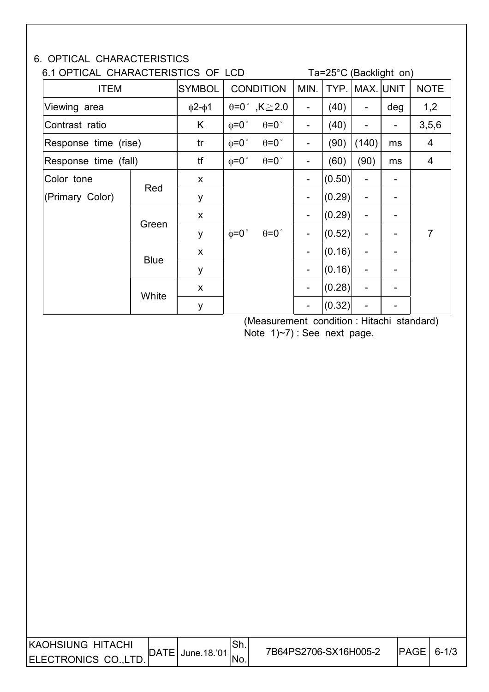#### 6. OPTICAL CHARACTERISTICS

### 6.1 OPTICAL CHARACTERISTICS OF LCD Ta=25°C (Backlight on)

|                      |               |                    | └─               |                                     |                              |                | $10 - 20$ V (Davnight VII) |                              |                |
|----------------------|---------------|--------------------|------------------|-------------------------------------|------------------------------|----------------|----------------------------|------------------------------|----------------|
| <b>ITEM</b>          | <b>SYMBOL</b> |                    | <b>CONDITION</b> | MIN.                                |                              | TYP. MAX. UNIT |                            | <b>NOTE</b>                  |                |
| Viewing area         |               | $\phi$ 2- $\phi$ 1 |                  | $\theta = 0^{\circ}$ , K $\geq 2.0$ | $\overline{a}$               | (40)           | -                          | deg                          | 1,2            |
| Contrast ratio       |               | K                  | $\phi = 0$ °     | $\theta = 0$ °                      | $\overline{a}$               | (40)           |                            |                              | 3,5,6          |
| Response time (rise) |               | tr                 | $\phi = 0$ °     | $\theta = 0$ °                      | $\qquad \qquad \blacksquare$ | (90)           | (140)                      | ms                           | 4              |
| Response time (fall) |               | tf                 | $\phi = 0$ °     | $\theta = 0$ °                      | -                            | (60)           | (90)                       | ms                           | 4              |
| Color tone           |               | X                  |                  |                                     | $\overline{\phantom{a}}$     | (0.50)         | -                          |                              |                |
| (Primary Color)      | Red           | y                  | $\phi = 0$ °     |                                     | $\qquad \qquad \blacksquare$ | (0.29)         |                            |                              |                |
|                      |               | X                  |                  |                                     | $\qquad \qquad \blacksquare$ | (0.29)         | -                          |                              |                |
|                      | Green         | y                  |                  | $\theta = 0$ °                      | $\overline{\phantom{a}}$     | (0.52)         | -                          | $\qquad \qquad \blacksquare$ | $\overline{7}$ |
|                      |               | X                  |                  |                                     | $\qquad \qquad -$            | (0.16)         |                            |                              |                |
| <b>Blue</b>          |               | y                  |                  |                                     | $\overline{\phantom{a}}$     | (0.16)         | -                          |                              |                |
|                      |               | X                  |                  |                                     | $\qquad \qquad \blacksquare$ | (0.28)         | -                          |                              |                |
|                      | White         | y                  |                  |                                     |                              | (0.32)         |                            |                              |                |

 (Measurement condition : Hitachi standard) Note 1)~7) : See next page.

| <b>KAOHSIUNG HITACHI</b> | ISh.<br>$\vert$ DATE $\vert$ June.18.'01 $\vert$ | 7B64PS2706-SX16H005-2 | $ PAGE  6-1/3$ |  |
|--------------------------|--------------------------------------------------|-----------------------|----------------|--|
| ELECTRONICS CO., LTD.    |                                                  |                       |                |  |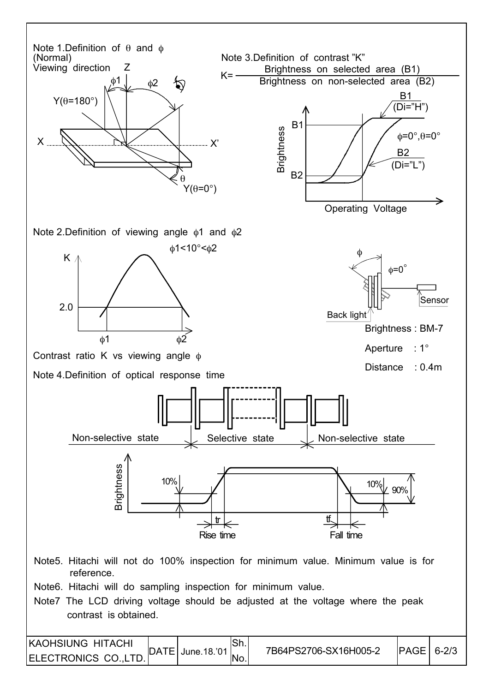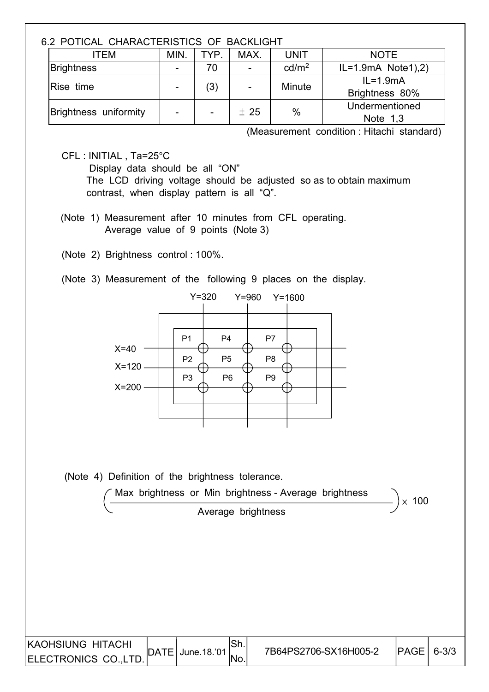#### 6.2 POTICAL CHARACTERISTICS OF BACKLIGHT

| ווטובווטונים וט טטווטוטובומטיווט בומוס ובו |                |      |      |                   |                                |
|--------------------------------------------|----------------|------|------|-------------------|--------------------------------|
| ITEM                                       | MIN.           | TYP. | MAX. | <b>UNIT</b>       | <b>NOTE</b>                    |
| Brightness                                 | $\blacksquare$ | 70   |      | cd/m <sup>2</sup> | $IL=1.9mA$ Note 1), 2)         |
| Rise time                                  | $\blacksquare$ | (3)  |      | Minute            | $IL = 1.9mA$<br>Brightness 80% |
| Brightness uniformity                      | -              |      | ± 25 | $\%$              | Undermentioned<br>Note $1,3$   |

(Measurement condition : Hitachi standard)

CFL : INITIAL , Ta=25°C

 Display data should be all "ON" The LCD driving voltage should be adjusted so as to obtain maximum contrast, when display pattern is all "Q".

- (Note 1) Measurement after 10 minutes from CFL operating. Average value of 9 points (Note 3)
- (Note 2) Brightness control : 100%.
- (Note 3) Measurement of the following 9 places on the display.



(Note 4) Definition of the brightness tolerance.

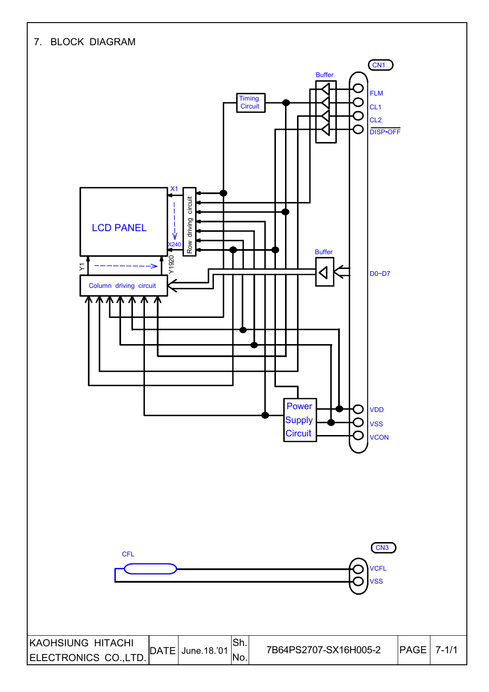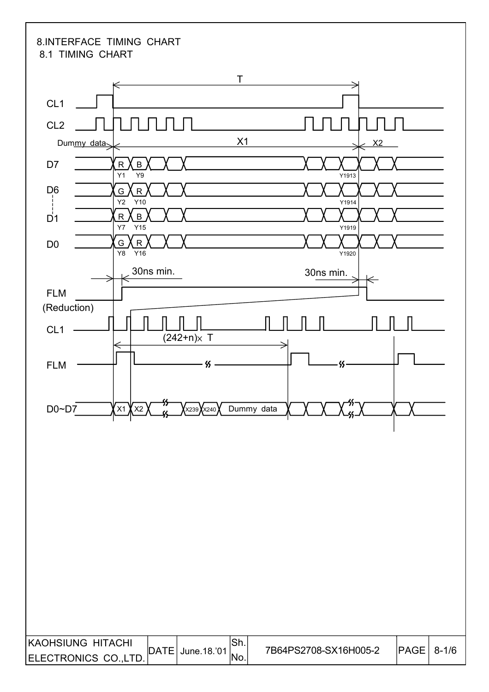#### 8.INTERFACE TIMING CHART 8.1 TIMING CHART

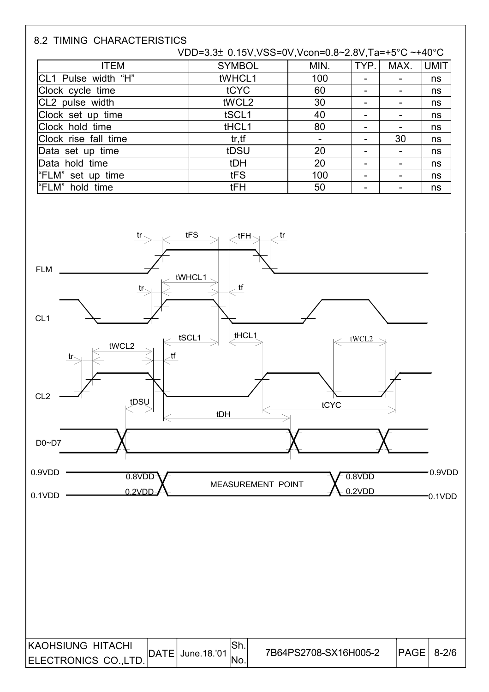| <b>8.2 TIMING CHARACTERISTICS</b> |                                                    |      |                          |      |             |
|-----------------------------------|----------------------------------------------------|------|--------------------------|------|-------------|
|                                   | VDD=3.3± 0.15V,VSS=0V,Vcon=0.8~2.8V,Ta=+5°C ~+40°C |      |                          |      |             |
| <b>ITEM</b>                       | <b>SYMBOL</b>                                      | MIN. | TYP.                     | MAX. | <b>UMIT</b> |
| CL1 Pulse width "H"               | tWHCL1                                             | 100  |                          |      | ns          |
| Clock cycle time                  | tCYC                                               | 60   |                          |      | ns          |
| CL2 pulse width                   | tWCL2                                              | 30   | $\overline{\phantom{0}}$ |      | ns          |
| Clock set up time                 | tSCL1                                              | 40   |                          |      | ns          |
| Clock hold time                   | tHCL1                                              | 80   |                          |      | ns          |
| Clock rise fall time              | tr, tf                                             |      |                          | 30   | ns          |
| Data set up time                  | tDSU                                               | 20   |                          |      | ns          |
| Data hold time                    | tDH                                                | 20   |                          |      | ns          |
| "FLM" set up time                 | tFS                                                | 100  |                          |      | ns          |
| l"FLM"<br>hold time               | tFH                                                | 50   |                          |      | ns          |

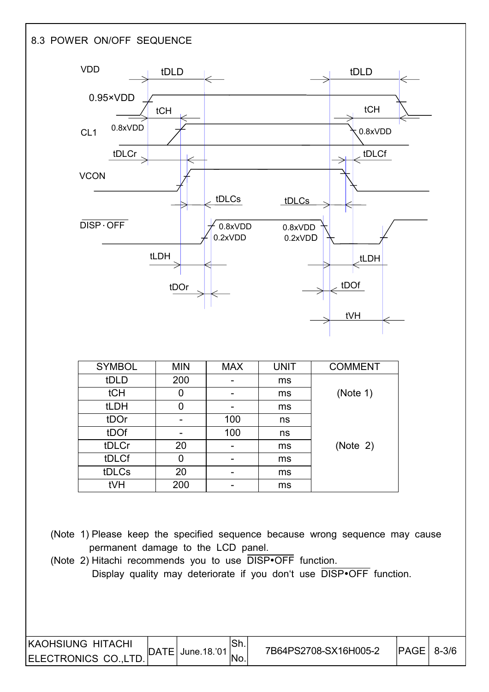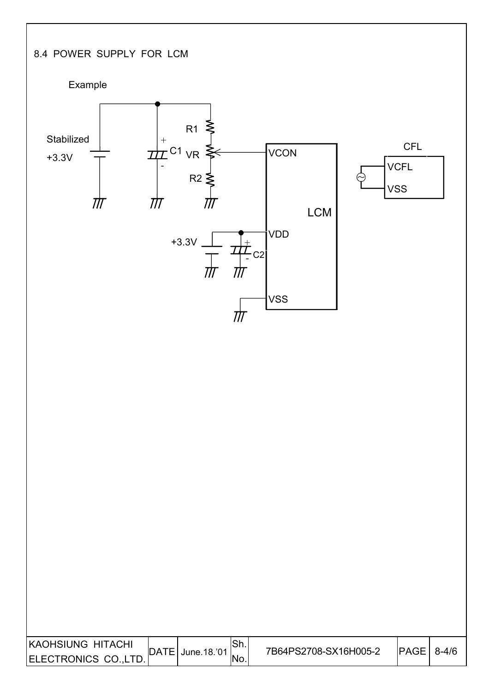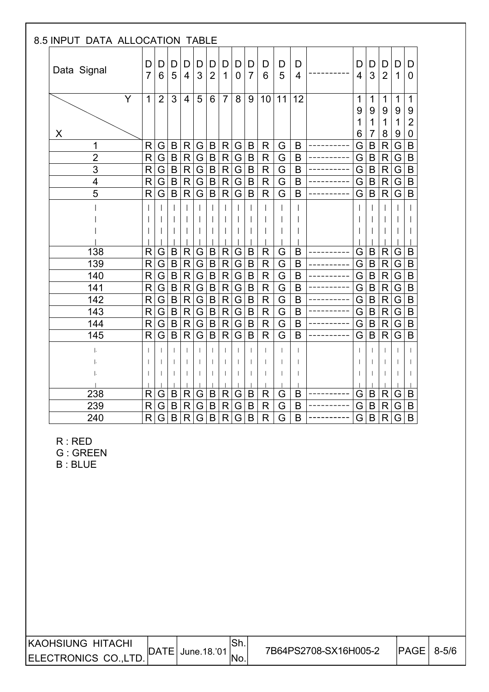| 8.5 INPUT DATA ALLOCATION TABLE  |                     |                |                    |                     |                         |                     |                |                |                     |                            |        |                  |             |              |                                 |             |                                  |
|----------------------------------|---------------------|----------------|--------------------|---------------------|-------------------------|---------------------|----------------|----------------|---------------------|----------------------------|--------|------------------|-------------|--------------|---------------------------------|-------------|----------------------------------|
| Data Signal                      | D<br>$\overline{7}$ | D<br>6         | D<br>5             | D<br>$\overline{4}$ | D<br>3                  | D<br>$\overline{2}$ | D<br>1         | D<br>0         | D<br>$\overline{7}$ | D<br>6                     | D<br>5 | D<br>4           | D<br>4      | D<br>3       | D<br>$\overline{2}$             | D<br>1      | D<br>$\overline{0}$              |
| Ÿ                                | $\mathbf{1}$        | $\overline{2}$ | 3                  | $\overline{4}$      | 5                       | 6                   | $\overline{7}$ | 8              | 9                   | 10                         | 11     | 12               | 1<br>9<br>1 | 1<br>9<br>1  | $\mathbf 1$<br>9<br>$\mathbf 1$ | 1<br>9<br>1 | 1<br>9<br>$\overline{2}$         |
| X                                |                     |                |                    |                     |                         |                     |                |                |                     |                            |        |                  | 6           | 7            | 8                               | 9           | 0                                |
| 1                                | R                   | G              | B                  | R                   | G                       | B                   | R              | G              | B                   | R                          | G      | B                | G           | B            | $\mathsf{R}$                    | G           | B                                |
| $\overline{2}$                   | $\mathsf{R}$        | G              | $\sf B$            | R                   | $\overline{\mathsf{G}}$ | $\sf B$             | $\mathsf{R}$   | G              | $\mathsf B$         | $\mathsf{R}$               | G      | B                | G           | B            | $\mathsf R$                     | G           | $\mathsf B$                      |
| $\overline{3}$<br>$\overline{4}$ | R<br>$\mathsf{R}$   | G<br>G         | $\sf B$<br>$\sf B$ | R.<br>$\mathsf{R}$  | G<br>G                  | B<br>$\sf B$        | R<br>${\sf R}$ | G              | B<br>$\sf B$        | $\mathsf R$<br>$\mathsf R$ | G<br>G | B<br>$\mathsf B$ | G<br>Ġ      | B<br>$\sf B$ | $\mathsf{R}$<br>$\mathsf R$     | G<br>G      | $\overline{B}$<br>$\overline{B}$ |
| 5                                | R                   | G              | $\mathsf B$        | R.                  | $\overline{\mathsf{G}}$ | B                   | $\mathsf{R}$   | G<br>G         | $\mathsf B$         | $\mathsf{R}$               | G      | B                | G           | B            | $\mathsf{R}$                    | G           | $\overline{B}$                   |
|                                  |                     |                |                    |                     |                         |                     |                |                |                     |                            |        |                  |             |              |                                 |             |                                  |
|                                  |                     |                |                    |                     |                         |                     |                |                |                     |                            |        |                  |             |              |                                 |             |                                  |
|                                  |                     |                |                    |                     |                         |                     |                |                |                     |                            |        |                  |             |              |                                 |             |                                  |
|                                  |                     |                |                    |                     |                         |                     |                |                |                     |                            |        |                  |             |              |                                 |             |                                  |
| 138                              | R                   | G              | B                  | R                   | G                       | B                   | R              | G              | B                   | $\mathsf{R}$               | G      | B                | G           | B            | $\mathsf R$                     | G           | B                                |
| 139                              | R                   | G              | $\sf B$            | $\mathsf{R}$        | G                       | B                   | $\mathsf{R}$   | G              | B                   | $\mathsf R$                | G      | B                | G           | B            | $\mathsf{R}$                    | G           | $\overline{B}$                   |
| 140                              | $\mathsf{R}$        | G              | $\sf B$            | R                   | $\overline{G}$          | $\sf B$             | ${\sf R}$      | G              | $\sf B$             | ${\sf R}$                  | G      | $\overline{B}$   | G           | $\sf B$      | $\mathsf R$                     | G           | $\overline{B}$                   |
| 141                              | R                   | G              | $\sf B$            | $\mathsf{R}$        | $\overline{G}$          | $\sf B$             | $\mathsf{R}$   | G              | $\sf B$             | $\mathsf{R}$               | G      | B                | G           | B            | R                               | G           | $\mathsf B$                      |
| 142                              | R                   | G              | $\mathsf B$        | $\mathsf{R}$        | G                       | $\sf B$             | $\mathsf{R}$   | G              | $\sf B$             | $\mathsf R$                | G      | B                | G           | B            | R                               | G           | $\overline{B}$                   |
| 143                              | R                   | G              | $\sf B$            | $\mathsf{R}$        | G                       | B                   | $\mathsf{R}$   | G              | B                   | $\mathsf{R}$               | G      | B                | G           | $\sf B$      | $\mathsf{R}$                    | G           | $\mathsf B$                      |
| 144                              | R                   | G              | $\overline{B}$     | $\mathsf{R}$        | $\overline{\mathsf{G}}$ | $\overline{B}$      | $\overline{R}$ | $\overline{G}$ | $\mathsf B$         | $\overline{\mathsf{R}}$    | G      | B                | G           | $\mathsf B$  | $\overline{\mathsf{R}}$         | G           | $\overline{B}$                   |
| 145                              | $\mathsf{R}$        | G              | $\mathsf B$        | R.                  | $\overline{\mathsf{G}}$ | $\overline{B}$      | $\mathsf R$    | G              | B                   | $\mathsf{R}$               | G      | B                | G           | B            | $\mathsf R$                     | G           | $\overline{B}$                   |
|                                  |                     |                |                    |                     |                         |                     |                | $\mathbf{I}$   |                     |                            |        |                  |             |              | $\mathbf{I}$                    |             |                                  |
|                                  |                     |                |                    |                     |                         |                     |                |                |                     |                            |        |                  |             |              |                                 |             |                                  |
|                                  |                     |                |                    |                     |                         |                     |                |                |                     |                            |        |                  |             |              |                                 |             |                                  |
|                                  |                     |                |                    |                     |                         |                     |                |                |                     |                            |        |                  |             |              |                                 |             |                                  |
| 238                              | R                   | G.             | B                  | R                   | G                       | B                   | R              | G              | B                   | R                          | G      | B                | G           | B            | R                               | G           | B                                |
| 239                              | R                   | G              | $\sf B$            | R                   | G                       | $\sf B$             | $\mathsf{R}$   | G              | B                   | $\mathsf R$                | G      | B                | G           | B            | $\mathsf{R}$                    | G           | $\sf B$                          |
| 240                              | R                   | G              | B                  | R                   | $\overline{G}$          | $\overline{B}$      | R              | $\overline{G}$ | B                   | R                          | G      | B                | G           | $\mathsf B$  | R                               | G           | $\overline{B}$                   |

R : RED

G : GREEN

B : BLUE

 $\overline{\phantom{a}}$ 

| <b>IKAOHSIUNG HITACHI</b> |              |              | .ווט | 7B64PS2708-SX16H005-2 | PAGE | $8 - 5/6$ |
|---------------------------|--------------|--------------|------|-----------------------|------|-----------|
| ELECTRONICS CO., LTD.     | <b>IDATE</b> | June. 18.'01 | 'No. |                       |      |           |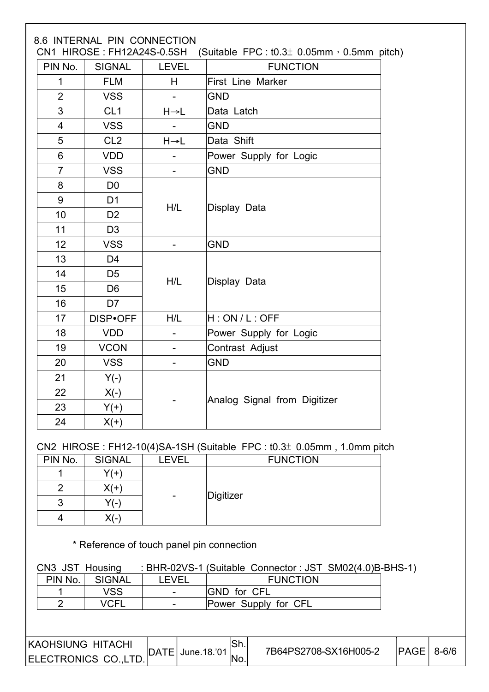| PIN No.        | <b>SIGNAL</b>   | <b>LEVEL</b>      | <b>FUNCTION</b>                                                                            |
|----------------|-----------------|-------------------|--------------------------------------------------------------------------------------------|
| $\mathbf{1}$   | <b>FLM</b>      | H                 | First Line Marker                                                                          |
| $\overline{2}$ | <b>VSS</b>      |                   | <b>GND</b>                                                                                 |
| 3              | CL <sub>1</sub> | $H \rightarrow L$ | Data Latch                                                                                 |
| $\overline{4}$ | <b>VSS</b>      |                   | <b>GND</b>                                                                                 |
| 5              | CL <sub>2</sub> | $H \rightarrow L$ | Data Shift                                                                                 |
| 6              | <b>VDD</b>      |                   | Power Supply for Logic                                                                     |
| $\overline{7}$ | <b>VSS</b>      |                   | <b>GND</b>                                                                                 |
| 8              | D <sub>0</sub>  |                   |                                                                                            |
| 9              | D <sub>1</sub>  |                   |                                                                                            |
| 10             | D <sub>2</sub>  | H/L               | Display Data                                                                               |
| 11             | D <sub>3</sub>  |                   |                                                                                            |
| 12             | <b>VSS</b>      |                   | <b>GND</b>                                                                                 |
| 13             | D <sub>4</sub>  |                   |                                                                                            |
| 14             | D <sub>5</sub>  |                   |                                                                                            |
| 15             | D <sub>6</sub>  | H/L               | Display Data                                                                               |
| 16             | D7              |                   |                                                                                            |
| 17             | DISP•OFF        | H/L               | H:ON/L:OFF                                                                                 |
| 18             | <b>VDD</b>      |                   | Power Supply for Logic                                                                     |
| 19             | <b>VCON</b>     |                   | Contrast Adjust                                                                            |
| 20             | <b>VSS</b>      |                   | <b>GND</b>                                                                                 |
| 21             | $Y(-)$          |                   |                                                                                            |
| 22             | $X(-)$          |                   | Analog Signal from Digitizer                                                               |
| 23             | $Y(+)$          |                   |                                                                                            |
| 24             | $X(+)$          |                   |                                                                                            |
|                |                 |                   |                                                                                            |
| PIN No.        | <b>SIGNAL</b>   | <b>LEVEL</b>      | CN2 HIROSE: FH12-10(4)SA-1SH (Suitable FPC: $t0.3±$ 0.05mm, 1.0mm pitch<br><b>FUNCTION</b> |
| 1              | $Y(+)$          |                   |                                                                                            |
| 2              | $X(+)$          |                   |                                                                                            |
| 3              | $Y(-)$          |                   | Digitizer                                                                                  |
| 4              | $X(-)$          |                   |                                                                                            |
|                |                 |                   | * Reference of touch panel pin connection                                                  |
|                |                 |                   |                                                                                            |
|                | CN3 JST Housing |                   | : BHR-02VS-1 (Suitable Connector: JST SM02(4.0)B-BHS-1)                                    |
| PIN No.        | <b>SIGNAL</b>   | <b>LEVEL</b>      | <b>FUNCTION</b>                                                                            |

| <b>IKAOHSIUNG HITACHI</b> | $\overline{DATE}$ June. 18.'01 | ISh. | 7B64PS2708-SX16H005-2 | $PAGE$ 8-6/6 |  |
|---------------------------|--------------------------------|------|-----------------------|--------------|--|
| ELECTRONICS CO.,LTD.      |                                | INo. |                       |              |  |

2 | VCFL | - | Power Supply for CFL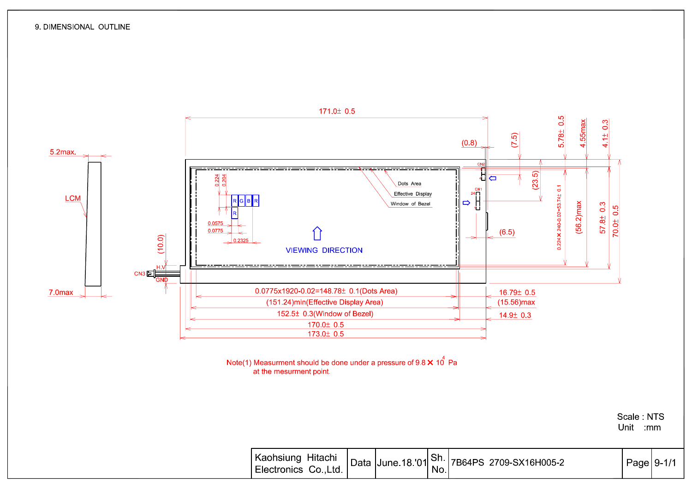

Note(1) Measurment should be done under a pressure of  $9.8 \times 10^4$  Pa at the mesurment point.

Scale NTS Unit mm

| Naonsiung Hitachi Data June 18.'01 Sh. 7B64PS 2709-SX16H005-2 |  | Page 9-1/1 |  |
|---------------------------------------------------------------|--|------------|--|
|---------------------------------------------------------------|--|------------|--|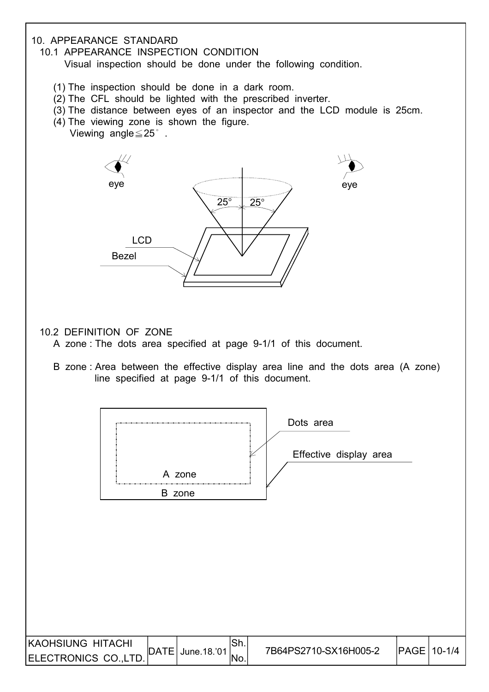#### 10. APPEARANCE STANDARD

10.1 APPEARANCE INSPECTION CONDITION

Visual inspection should be done under the following condition.

- (1) The inspection should be done in a dark room.
- (2) The CFL should be lighted with the prescribed inverter.
- (3) The distance between eyes of an inspector and the LCD module is 25cm.
- (4) The viewing zone is shown the figure.
	- Viewing angle≦25° .



10.2 DEFINITION OF ZONE

- A zone : The dots area specified at page 9-1/1 of this document.
- B zone : Area between the effective display area line and the dots area (A zone) line specified at page 9-1/1 of this document.

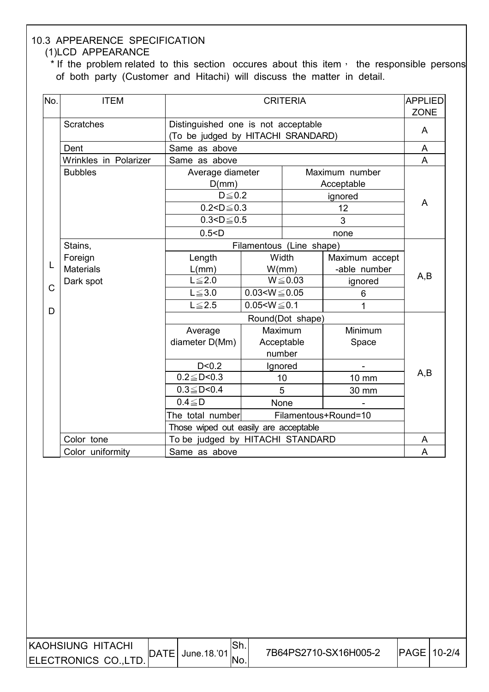#### 10.3 APPEARENCE SPECIFICATION (1)LCD APPEARANCE

\* If the problem related to this section occures about this item, the responsible persons of both party (Customer and Hitachi) will discuss the matter in detail.

| No.            | <b>ITEM</b>           |                                                                           | <b>APPLIED</b><br><b>CRITERIA</b> |              |                              |     |  |  |  |  |
|----------------|-----------------------|---------------------------------------------------------------------------|-----------------------------------|--------------|------------------------------|-----|--|--|--|--|
|                | <b>Scratches</b>      | Distinguished one is not acceptable<br>(To be judged by HITACHI SRANDARD) |                                   |              |                              | A   |  |  |  |  |
|                | Dent                  | Same as above                                                             |                                   |              |                              |     |  |  |  |  |
|                | Wrinkles in Polarizer | Same as above                                                             |                                   |              |                              |     |  |  |  |  |
|                | <b>Bubbles</b>        | Average diameter<br>D(mm)                                                 |                                   |              | Maximum number<br>Acceptable |     |  |  |  |  |
|                |                       | $D \leq 0.2$                                                              |                                   |              | ignored                      | A   |  |  |  |  |
|                |                       | $0.2 < D \le 0.3$                                                         |                                   |              | 12                           |     |  |  |  |  |
|                |                       | $0.3 < D \le 0.5$                                                         |                                   |              | 3                            |     |  |  |  |  |
|                |                       | 0.5 < D                                                                   | none                              |              |                              |     |  |  |  |  |
|                | Stains,               |                                                                           | Filamentous (Line shape)          |              |                              |     |  |  |  |  |
| L              | Foreign               | Length                                                                    | Width                             |              | Maximum accept               |     |  |  |  |  |
|                | <b>Materials</b>      | L/mm)                                                                     |                                   | W/mm)        | -able number                 | A,B |  |  |  |  |
| $\overline{C}$ | Dark spot             | $L \leq 2.0$                                                              |                                   | $W \le 0.03$ | ignored                      |     |  |  |  |  |
|                |                       | $L \leq 3.0$                                                              | $0.03 < W \le 0.05$               |              | $6\phantom{1}6$              |     |  |  |  |  |
| D              |                       | $L \leq 2.5$                                                              | $0.05 < W \le 0.1$                |              | 1                            |     |  |  |  |  |
|                |                       | Round(Dot shape)                                                          |                                   |              |                              |     |  |  |  |  |
|                |                       | Average                                                                   |                                   | Maximum      | Minimum                      |     |  |  |  |  |
|                |                       | diameter D(Mm)                                                            |                                   | Acceptable   | Space                        |     |  |  |  |  |
|                |                       |                                                                           |                                   | number       |                              |     |  |  |  |  |
|                |                       | D < 0.2                                                                   |                                   | Ignored      |                              | A,B |  |  |  |  |
|                |                       | $0.2 \leq D < 0.3$                                                        |                                   | 10           | 10 mm                        |     |  |  |  |  |
|                |                       | $0.3 \leq D < 0.4$                                                        |                                   | 5            | 30 mm                        |     |  |  |  |  |
|                |                       | $0.4 \leq D$                                                              | <b>None</b>                       |              |                              |     |  |  |  |  |
|                |                       | Filamentous+Round=10<br>The total number                                  |                                   |              |                              |     |  |  |  |  |
|                |                       | Those wiped out easily are acceptable<br>To be judged by HITACHI STANDARD |                                   |              |                              |     |  |  |  |  |
|                | Color tone            |                                                                           |                                   |              |                              | A   |  |  |  |  |
|                | Color uniformity      | Same as above                                                             |                                   |              |                              | A   |  |  |  |  |

| KAOHSIUNG HITACHI    | $\overline{DATE}$ June.18.'01. | OII. | 7B64PS2710-SX16H005-2 | <b>IPAGE 10-2/4</b> |  |
|----------------------|--------------------------------|------|-----------------------|---------------------|--|
| ELECTRONICS CO.,LTD. |                                |      |                       |                     |  |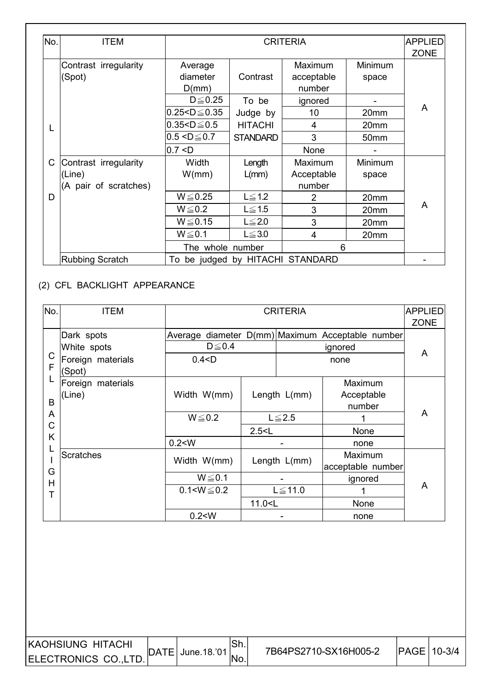| No. | <b>ITEM</b>                     |                        |                 | <b>CRITERIA</b>               |                  | <b>APPLIED</b><br><b>ZONE</b> |
|-----|---------------------------------|------------------------|-----------------|-------------------------------|------------------|-------------------------------|
|     | Contrast irregularity<br>(Spot) | Average<br>diameter    | Contrast        | Maximum<br>acceptable         | Minimum<br>space |                               |
|     |                                 | D(mm)<br>$D \leq 0.25$ | To be           | number<br>ignored             |                  |                               |
|     |                                 | $0.25 < D \le 0.35$    | Judge by        | 10                            | 20mm             | A                             |
|     |                                 | $0.35 < D \le 0.5$     | <b>HITACHI</b>  | $\overline{4}$                | 20 <sub>mm</sub> |                               |
|     |                                 | $0.5 < D \le 0.7$      | <b>STANDARD</b> | 3                             | 50 <sub>mm</sub> |                               |
|     |                                 | 0.7 < D                |                 | None                          |                  |                               |
| C   | Contrast irregularity           | Width                  | Length          | Maximum                       | Minimum          |                               |
|     | (Line)                          | W/mm                   | $L/mm$ )        | Acceptable                    | space            |                               |
|     | (A pair of scratches)           |                        |                 | number                        |                  |                               |
| D   |                                 | $W \le 0.25$           | $L \leq 1.2$    | $\overline{2}$                | 20mm             |                               |
|     |                                 | $W \le 0.2$            | $L \leq 1.5$    | 3                             | 20mm             | A                             |
|     |                                 | $W \le 0.15$           | $L \leq 2.0$    | 3                             | 20mm             |                               |
|     |                                 | $W \le 0.1$            | $L \leq 3.0$    | 4                             | 20mm             |                               |
|     |                                 | The whole number       |                 | 6                             |                  |                               |
|     | <b>Rubbing Scratch</b>          | To                     |                 | be judged by HITACHI STANDARD |                  |                               |

#### (2) CFL BACKLIGHT APPEARANCE

 $\overline{\phantom{a}}$ 

| No.          | <b>ITEM</b>                 |                   | <b>CRITERIA</b>                                     |              |                                                  |   |  |  |
|--------------|-----------------------------|-------------------|-----------------------------------------------------|--------------|--------------------------------------------------|---|--|--|
|              |                             |                   |                                                     |              |                                                  |   |  |  |
|              | Dark spots                  |                   |                                                     |              | Average diameter D(mm) Maximum Acceptable number |   |  |  |
|              | White spots                 | $D \leq 0.4$      |                                                     |              | ignored                                          | A |  |  |
| C<br>F       | Foreign materials<br>(Spot) | 0.4 < D           |                                                     |              |                                                  |   |  |  |
|              | Foreign materials           |                   |                                                     |              | Maximum                                          |   |  |  |
|              | (Line)                      | Width W(mm)       |                                                     | Length L(mm) | Acceptable                                       |   |  |  |
| B            |                             |                   |                                                     |              | number                                           |   |  |  |
| A            |                             | $W \le 0.2$       |                                                     | $L \leq 2.5$ |                                                  | A |  |  |
| $\mathsf{C}$ |                             |                   | 2.5 < L                                             |              | None                                             |   |  |  |
| Κ            |                             | 0.2 < W           |                                                     |              | none                                             |   |  |  |
|              | Scratches                   |                   |                                                     |              | Maximum                                          |   |  |  |
| G            |                             | Width W(mm)       |                                                     | Length L(mm) | acceptable number                                |   |  |  |
| H            |                             | $W \le 0.1$       |                                                     |              | ignored                                          |   |  |  |
| Т            |                             | $0.1 < W \le 0.2$ |                                                     | $L \le 11.0$ |                                                  | A |  |  |
|              |                             |                   | 11.0 <l< td=""><td></td><td>None</td><td></td></l<> |              | None                                             |   |  |  |
|              |                             | 0.2 < W           |                                                     |              | none                                             |   |  |  |

 $|\mathsf{Sh}.|$ No.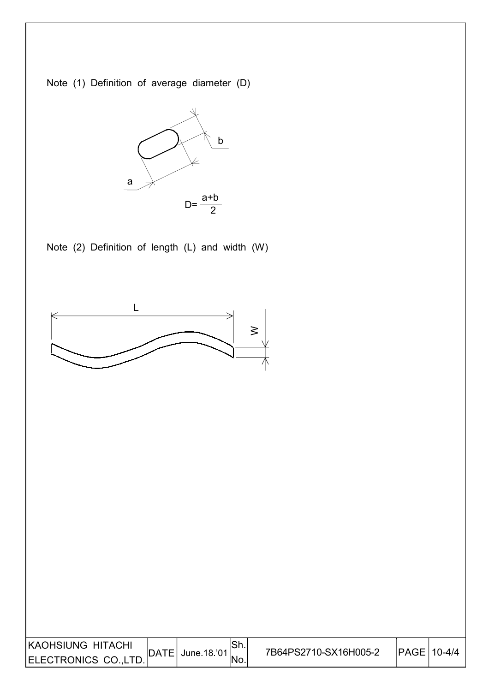KAOHSIUNG HITACHI RAUHSIUNG HITAUHI DATE June.18.'01 | 7B64PS2710-SX16H005-2  $\left| \text{PAGE} \right|$  10-4/4 Sh. No. Note (2) Definition of length (L) and width (W) a b Note (1) Definition of average diameter (D) a+b  $D=\frac{2}{2}$  $\geq$ L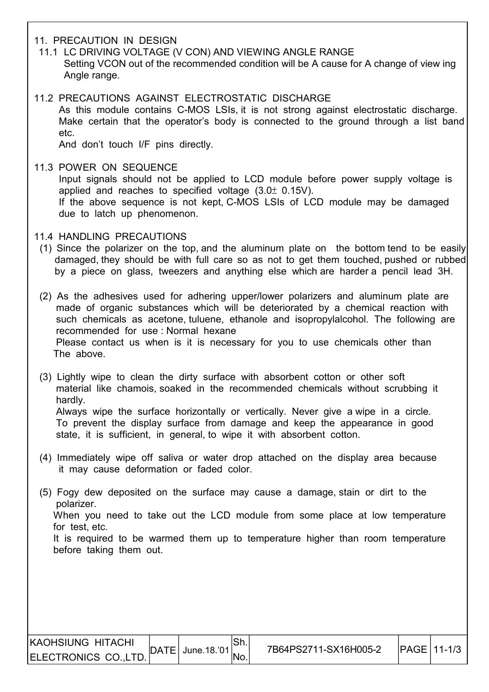#### 11. PRECAUTION IN DESIGN

- 11.1 LC DRIVING VOLTAGE (V CON) AND VIEWING ANGLE RANGE Setting VCON out of the recommended condition will be A cause for A change of view ing Angle range.
- 11.2 PRECAUTIONS AGAINST ELECTROSTATIC DISCHARGE As this module contains C-MOS LSIs, it is not strong against electrostatic discharge. Make certain that the operator's body is connected to the ground through a list band etc.

And don't touch I/F pins directly.

 11.3 POWER ON SEQUENCE Input signals should not be applied to LCD module before power supply voltage is applied and reaches to specified voltage  $(3.0 \pm 0.15 V)$ . If the above sequence is not kept, C-MOS LSIs of LCD module may be damaged due to latch up phenomenon.

#### 11.4 HANDLING PRECAUTIONS

 (1) Since the polarizer on the top, and the aluminum plate on the bottom tend to be easily damaged, they should be with full care so as not to get them touched, pushed or rubbed by a piece on glass, tweezers and anything else which are harder a pencil lead 3H.

 (2) As the adhesives used for adhering upper/lower polarizers and aluminum plate are made of organic substances which will be deteriorated by a chemical reaction with such chemicals as acetone, tuluene, ethanole and isopropylalcohol. The following are recommended for use : Normal hexane Please contact us when is it is necessary for you to use chemicals other than The above.

 (3) Lightly wipe to clean the dirty surface with absorbent cotton or other soft material like chamois, soaked in the recommended chemicals without scrubbing it hardly. Always wipe the surface horizontally or vertically. Never give a wipe in a circle.

 To prevent the display surface from damage and keep the appearance in good state, it is sufficient, in general, to wipe it with absorbent cotton.

- (4) Immediately wipe off saliva or water drop attached on the display area because it may cause deformation or faded color.
- (5) Fogy dew deposited on the surface may cause a damage, stain or dirt to the polarizer.

 When you need to take out the LCD module from some place at low temperature for test, etc.

 It is required to be warmed them up to temperature higher than room temperature before taking them out.

I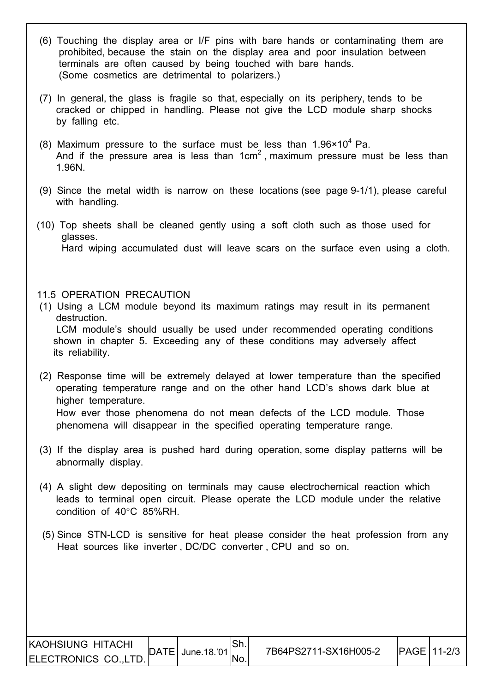- (6) Touching the display area or I/F pins with bare hands or contaminating them are prohibited, because the stain on the display area and poor insulation between terminals are often caused by being touched with bare hands. (Some cosmetics are detrimental to polarizers.)
- (7) In general, the glass is fragile so that, especially on its periphery, tends to be cracked or chipped in handling. Please not give the LCD module sharp shocks by falling etc.
- (8) Maximum pressure to the surface must be less than  $1.96 \times 10^4$  Pa.  $\vert$   $\vert$   $\vert$  And if the pressure area is less than 1cm<sup>2</sup>, maximum pressure must be less than 1.96N.
	- (9) Since the metal width is narrow on these locations (see page 9-1/1), please careful with handling.
	- (10) Top sheets shall be cleaned gently using a soft cloth such as those used for glasses. Hard wiping accumulated dust will leave scars on the surface even using a cloth.

#### 11.5 OPERATION PRECAUTION

I

- (1) Using a LCM module beyond its maximum ratings may result in its permanent destruction. LCM module's should usually be used under recommended operating conditions shown in chapter 5. Exceeding any of these conditions may adversely affect its reliability.
- (2) Response time will be extremely delayed at lower temperature than the specified operating temperature range and on the other hand LCD's shows dark blue at higher temperature. How ever those phenomena do not mean defects of the LCD module. Those phenomena will disappear in the specified operating temperature range.
- (3) If the display area is pushed hard during operation, some display patterns will be abnormally display.
- (4) A slight dew depositing on terminals may cause electrochemical reaction which leads to terminal open circuit. Please operate the LCD module under the relative condition of 40°C 85%RH.
- (5) Since STN-LCD is sensitive for heat please consider the heat profession from any Heat sources like inverter , DC/DC converter , CPU and so on.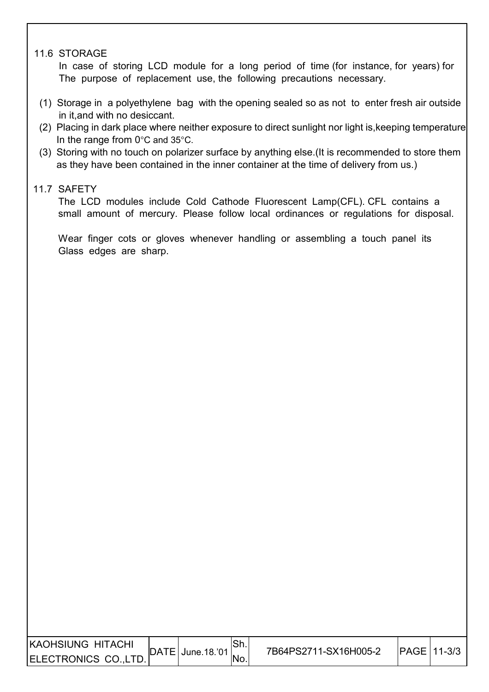#### 11.6 STORAGE

 In case of storing LCD module for a long period of time (for instance, for years) for The purpose of replacement use, the following precautions necessary.

- (1) Storage in a polyethylene bag with the opening sealed so as not to enter fresh air outside in it,and with no desiccant.
- (2) Placing in dark place where neither exposure to direct sunlight nor light is,keeping temperature In the range from 0°C and 35°C.
- (3) Storing with no touch on polarizer surface by anything else.(It is recommended to store them as they have been contained in the inner container at the time of delivery from us.)

#### 11.7 SAFETY

I

I

The LCD modules include Cold Cathode Fluorescent Lamp(CFL). CFL contains a small amount of mercury. Please follow local ordinances or regulations for disposal.

Wear finger cots or gloves whenever handling or assembling a touch panel its Glass edges are sharp.

| KAOHSIUNG HITACHI    |      |             | IOII. | 7B64PS2711-SX16H005-2 | <b>IPAGE 11-3/3</b> |  |
|----------------------|------|-------------|-------|-----------------------|---------------------|--|
| ELECTRONICS CO.,LTD. | DATE | June.18.'01 | No.   |                       |                     |  |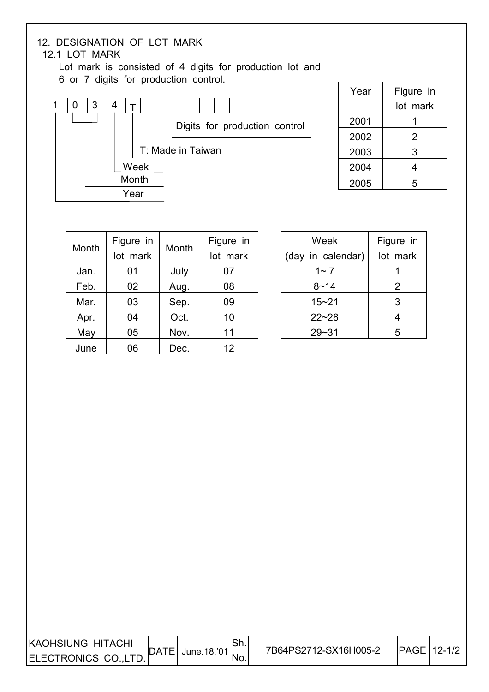## 12. DESIGNATION OF LOT MARK

#### 12.1 LOT MARK

I I

I

 Lot mark is consisted of 4 digits for production lot and 6 or 7 digits for production control.



| Year | Figure in |
|------|-----------|
|      | lot mark  |
| 2001 |           |
| 2002 | 2         |
| 2003 | 3         |
| 2004 | 4         |
| 2005 | 5         |

| Month | Figure in<br>lot mark | Month | Figure in<br>lot mark |
|-------|-----------------------|-------|-----------------------|
| Jan.  | 01                    | July  | 07                    |
| Feb.  | 02                    | Aug.  | 08                    |
| Mar.  | 03                    | Sep.  | 09                    |
| Apr.  | 04                    | Oct.  | 10                    |
| May   | 05                    | Nov.  | 11                    |
| June  | 06                    | Dec.  | 12                    |

| Week              | Figure in |  |  |
|-------------------|-----------|--|--|
| (day in calendar) | lot mark  |  |  |
| $1 - 7$           |           |  |  |
| $8 - 14$          | 2         |  |  |
| $15 - 21$         | 3         |  |  |
| $22 - 28$         |           |  |  |
| 29~31             | ҕ         |  |  |

| IKAOHSIUNG HITACHI   | $^{\prime}$ June. 18.'01. | 7B64PS2712-SX16H005-2 | <b>IPAGE 12-1/2</b> |
|----------------------|---------------------------|-----------------------|---------------------|
| ELECTRONICS CO.,LTD. | ∵lNo.                     |                       |                     |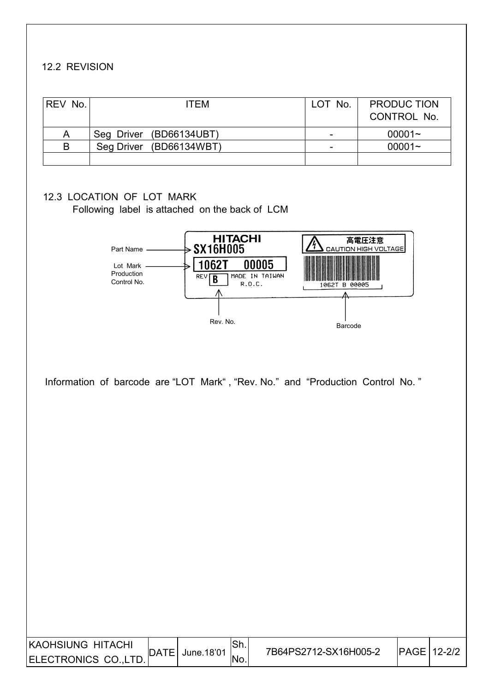#### 12.2 REVISION

I

I

| <b>REV No.</b> | <b>ITEM</b>             | LOT No.                  | <b>PRODUC TION</b><br>CONTROL No. |
|----------------|-------------------------|--------------------------|-----------------------------------|
| A              | Seg Driver (BD66134UBT) | $\overline{\phantom{0}}$ | $00001 -$                         |
| B              | Seg Driver (BD66134WBT) | -                        | $00001 -$                         |
|                |                         |                          |                                   |

#### 12.3 LOCATION OF LOT MARK

Following label is attached on the back of LCM



Information of barcode are "LOT Mark" , "Rev. No." and "Production Control No. "

| <b>KAOHSIUNG HITACHI</b> |          | June.18'01 | <b>JULL</b> | 7B64PS2712-SX16H005-2 | <b>IPAGE 12-2/2</b> |  |
|--------------------------|----------|------------|-------------|-----------------------|---------------------|--|
| ELECTRONICS CO.,LT       | $TE_{1}$ |            | No.         |                       |                     |  |